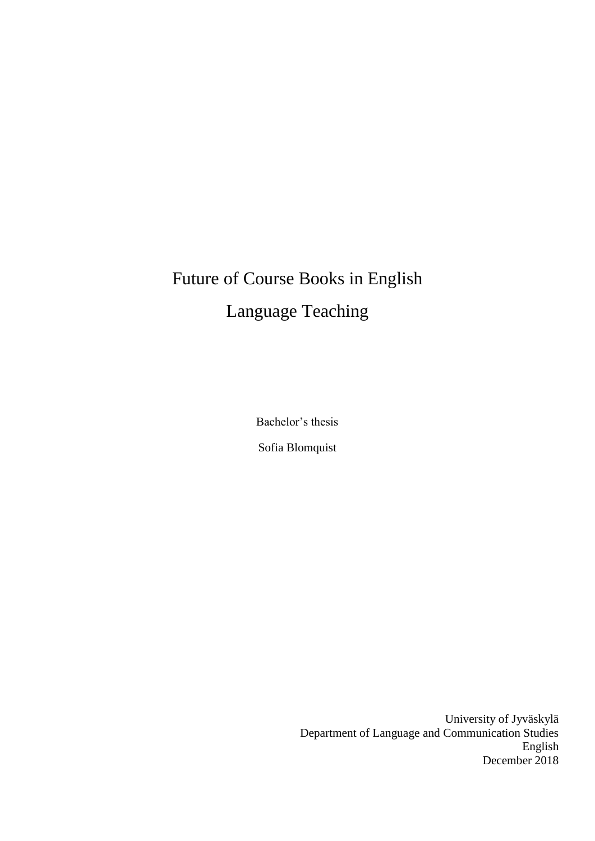# Future of Course Books in English Language Teaching

Bachelor's thesis Sofia Blomquist

> University of Jyväskylä Department of Language and Communication Studies English December 2018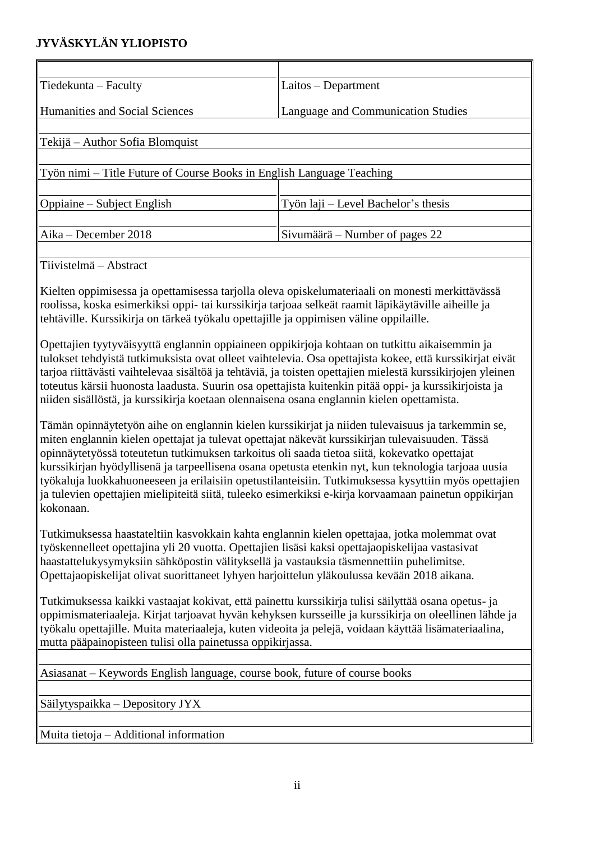## **JYVÄSKYLÄN YLIOPISTO**

| Tiedekunta – Faculty                                                  | $Laitos - Department$               |  |
|-----------------------------------------------------------------------|-------------------------------------|--|
|                                                                       |                                     |  |
| <b>Humanities and Social Sciences</b>                                 | Language and Communication Studies  |  |
|                                                                       |                                     |  |
| Tekijä – Author Sofia Blomquist                                       |                                     |  |
|                                                                       |                                     |  |
| Työn nimi – Title Future of Course Books in English Language Teaching |                                     |  |
|                                                                       |                                     |  |
| Oppiaine – Subject English                                            | Työn laji – Level Bachelor's thesis |  |
|                                                                       |                                     |  |
| Aika – December 2018                                                  | Sivumäärä – Number of pages 22      |  |
|                                                                       |                                     |  |

Tiivistelmä – Abstract

Kielten oppimisessa ja opettamisessa tarjolla oleva opiskelumateriaali on monesti merkittävässä roolissa, koska esimerkiksi oppi- tai kurssikirja tarjoaa selkeät raamit läpikäytäville aiheille ja tehtäville. Kurssikirja on tärkeä työkalu opettajille ja oppimisen väline oppilaille.

Opettajien tyytyväisyyttä englannin oppiaineen oppikirjoja kohtaan on tutkittu aikaisemmin ja tulokset tehdyistä tutkimuksista ovat olleet vaihtelevia. Osa opettajista kokee, että kurssikirjat eivät tarjoa riittävästi vaihtelevaa sisältöä ja tehtäviä, ja toisten opettajien mielestä kurssikirjojen yleinen toteutus kärsii huonosta laadusta. Suurin osa opettajista kuitenkin pitää oppi- ja kurssikirjoista ja niiden sisällöstä, ja kurssikirja koetaan olennaisena osana englannin kielen opettamista.

Tämän opinnäytetyön aihe on englannin kielen kurssikirjat ja niiden tulevaisuus ja tarkemmin se, miten englannin kielen opettajat ja tulevat opettajat näkevät kurssikirjan tulevaisuuden. Tässä opinnäytetyössä toteutetun tutkimuksen tarkoitus oli saada tietoa siitä, kokevatko opettajat kurssikirjan hyödyllisenä ja tarpeellisena osana opetusta etenkin nyt, kun teknologia tarjoaa uusia työkaluja luokkahuoneeseen ja erilaisiin opetustilanteisiin. Tutkimuksessa kysyttiin myös opettajien ja tulevien opettajien mielipiteitä siitä, tuleeko esimerkiksi e-kirja korvaamaan painetun oppikirjan kokonaan.

Tutkimuksessa haastateltiin kasvokkain kahta englannin kielen opettajaa, jotka molemmat ovat työskennelleet opettajina yli 20 vuotta. Opettajien lisäsi kaksi opettajaopiskelijaa vastasivat haastattelukysymyksiin sähköpostin välityksellä ja vastauksia täsmennettiin puhelimitse. Opettajaopiskelijat olivat suorittaneet lyhyen harjoittelun yläkoulussa kevään 2018 aikana.

Tutkimuksessa kaikki vastaajat kokivat, että painettu kurssikirja tulisi säilyttää osana opetus- ja oppimismateriaaleja. Kirjat tarjoavat hyvän kehyksen kursseille ja kurssikirja on oleellinen lähde ja työkalu opettajille. Muita materiaaleja, kuten videoita ja pelejä, voidaan käyttää lisämateriaalina, mutta pääpainopisteen tulisi olla painetussa oppikirjassa.

Asiasanat – Keywords English language, course book, future of course books

Säilytyspaikka – Depository JYX

Muita tietoja – Additional information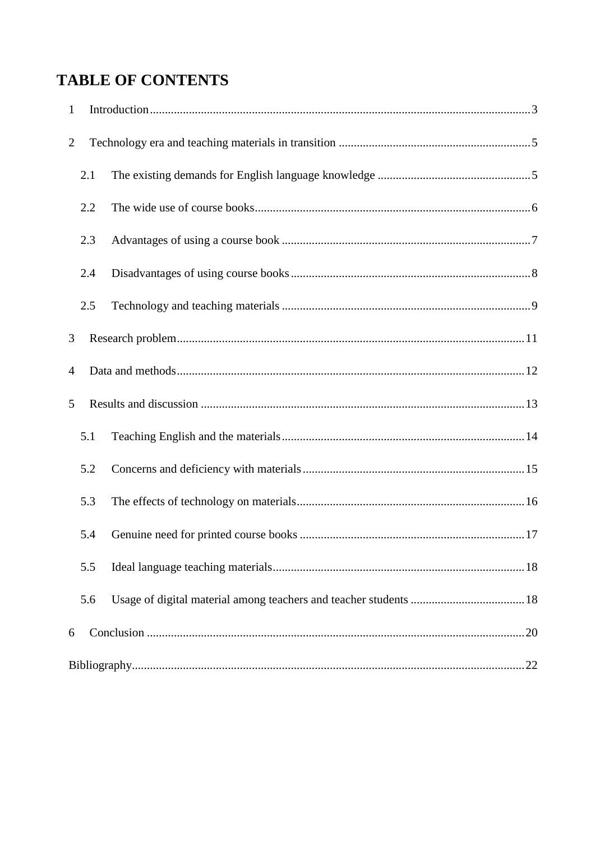## **TABLE OF CONTENTS**

| $\mathbf{1}$   |     |  |
|----------------|-----|--|
| $\overline{2}$ |     |  |
|                | 2.1 |  |
|                | 2.2 |  |
|                | 2.3 |  |
|                | 2.4 |  |
|                | 2.5 |  |
| 3              |     |  |
| $\overline{4}$ |     |  |
| 5              |     |  |
|                | 5.1 |  |
|                | 5.2 |  |
|                | 5.3 |  |
|                | 5.4 |  |
|                | 5.5 |  |
|                | 5.6 |  |
| 6              |     |  |
|                |     |  |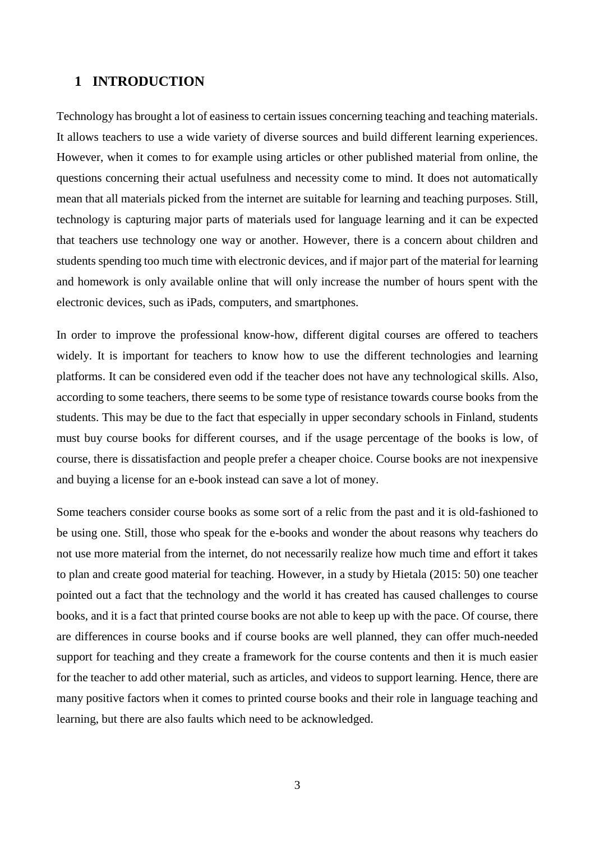## <span id="page-3-0"></span>**1 INTRODUCTION**

Technology has brought a lot of easiness to certain issues concerning teaching and teaching materials. It allows teachers to use a wide variety of diverse sources and build different learning experiences. However, when it comes to for example using articles or other published material from online, the questions concerning their actual usefulness and necessity come to mind. It does not automatically mean that all materials picked from the internet are suitable for learning and teaching purposes. Still, technology is capturing major parts of materials used for language learning and it can be expected that teachers use technology one way or another. However, there is a concern about children and students spending too much time with electronic devices, and if major part of the material for learning and homework is only available online that will only increase the number of hours spent with the electronic devices, such as iPads, computers, and smartphones.

In order to improve the professional know-how, different digital courses are offered to teachers widely. It is important for teachers to know how to use the different technologies and learning platforms. It can be considered even odd if the teacher does not have any technological skills. Also, according to some teachers, there seems to be some type of resistance towards course books from the students. This may be due to the fact that especially in upper secondary schools in Finland, students must buy course books for different courses, and if the usage percentage of the books is low, of course, there is dissatisfaction and people prefer a cheaper choice. Course books are not inexpensive and buying a license for an e-book instead can save a lot of money.

Some teachers consider course books as some sort of a relic from the past and it is old-fashioned to be using one. Still, those who speak for the e-books and wonder the about reasons why teachers do not use more material from the internet, do not necessarily realize how much time and effort it takes to plan and create good material for teaching. However, in a study by Hietala (2015: 50) one teacher pointed out a fact that the technology and the world it has created has caused challenges to course books, and it is a fact that printed course books are not able to keep up with the pace. Of course, there are differences in course books and if course books are well planned, they can offer much-needed support for teaching and they create a framework for the course contents and then it is much easier for the teacher to add other material, such as articles, and videos to support learning. Hence, there are many positive factors when it comes to printed course books and their role in language teaching and learning, but there are also faults which need to be acknowledged.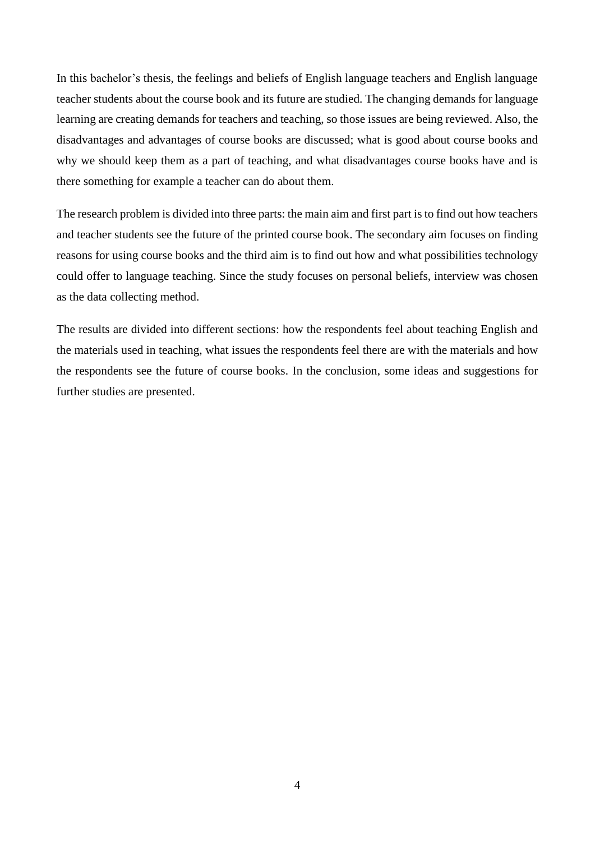In this bachelor's thesis, the feelings and beliefs of English language teachers and English language teacher students about the course book and its future are studied. The changing demands for language learning are creating demands for teachers and teaching, so those issues are being reviewed. Also, the disadvantages and advantages of course books are discussed; what is good about course books and why we should keep them as a part of teaching, and what disadvantages course books have and is there something for example a teacher can do about them.

The research problem is divided into three parts: the main aim and first part is to find out how teachers and teacher students see the future of the printed course book. The secondary aim focuses on finding reasons for using course books and the third aim is to find out how and what possibilities technology could offer to language teaching. Since the study focuses on personal beliefs, interview was chosen as the data collecting method.

The results are divided into different sections: how the respondents feel about teaching English and the materials used in teaching, what issues the respondents feel there are with the materials and how the respondents see the future of course books. In the conclusion, some ideas and suggestions for further studies are presented.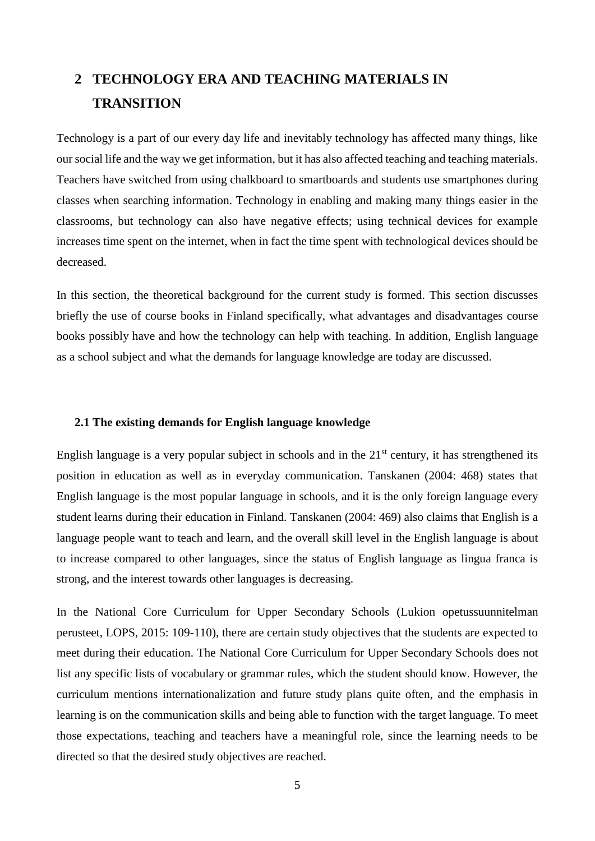## <span id="page-5-0"></span>**2 TECHNOLOGY ERA AND TEACHING MATERIALS IN TRANSITION**

Technology is a part of our every day life and inevitably technology has affected many things, like our social life and the way we get information, but it has also affected teaching and teaching materials. Teachers have switched from using chalkboard to smartboards and students use smartphones during classes when searching information. Technology in enabling and making many things easier in the classrooms, but technology can also have negative effects; using technical devices for example increases time spent on the internet, when in fact the time spent with technological devices should be decreased.

In this section, the theoretical background for the current study is formed. This section discusses briefly the use of course books in Finland specifically, what advantages and disadvantages course books possibly have and how the technology can help with teaching. In addition, English language as a school subject and what the demands for language knowledge are today are discussed.

## <span id="page-5-1"></span>**2.1 The existing demands for English language knowledge**

English language is a very popular subject in schools and in the  $21<sup>st</sup>$  century, it has strengthened its position in education as well as in everyday communication. Tanskanen (2004: 468) states that English language is the most popular language in schools, and it is the only foreign language every student learns during their education in Finland. Tanskanen (2004: 469) also claims that English is a language people want to teach and learn, and the overall skill level in the English language is about to increase compared to other languages, since the status of English language as lingua franca is strong, and the interest towards other languages is decreasing.

In the National Core Curriculum for Upper Secondary Schools (Lukion opetussuunnitelman perusteet, LOPS, 2015: 109-110), there are certain study objectives that the students are expected to meet during their education. The National Core Curriculum for Upper Secondary Schools does not list any specific lists of vocabulary or grammar rules, which the student should know. However, the curriculum mentions internationalization and future study plans quite often, and the emphasis in learning is on the communication skills and being able to function with the target language. To meet those expectations, teaching and teachers have a meaningful role, since the learning needs to be directed so that the desired study objectives are reached.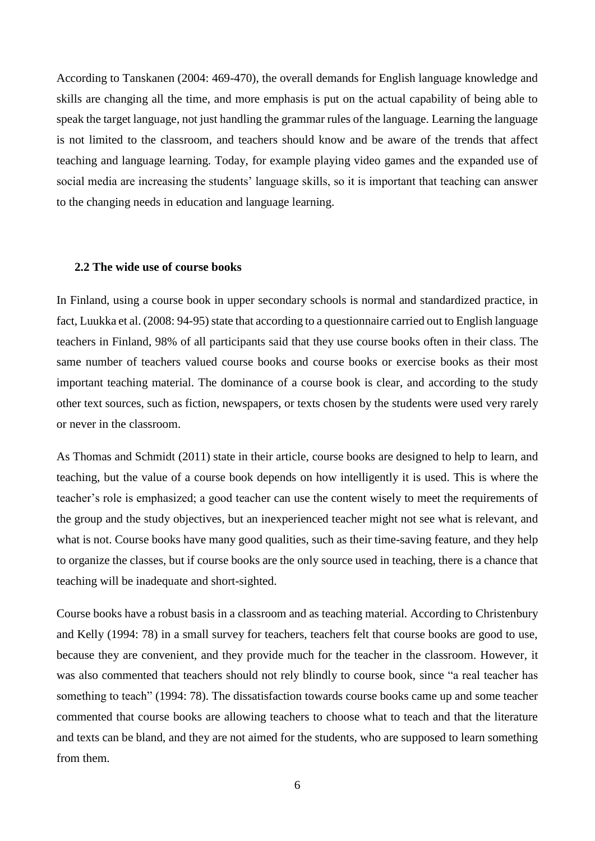According to Tanskanen (2004: 469-470), the overall demands for English language knowledge and skills are changing all the time, and more emphasis is put on the actual capability of being able to speak the target language, not just handling the grammar rules of the language. Learning the language is not limited to the classroom, and teachers should know and be aware of the trends that affect teaching and language learning. Today, for example playing video games and the expanded use of social media are increasing the students' language skills, so it is important that teaching can answer to the changing needs in education and language learning.

### <span id="page-6-0"></span>**2.2 The wide use of course books**

In Finland, using a course book in upper secondary schools is normal and standardized practice, in fact, Luukka et al. (2008: 94-95) state that according to a questionnaire carried out to English language teachers in Finland, 98% of all participants said that they use course books often in their class. The same number of teachers valued course books and course books or exercise books as their most important teaching material. The dominance of a course book is clear, and according to the study other text sources, such as fiction, newspapers, or texts chosen by the students were used very rarely or never in the classroom.

As Thomas and Schmidt (2011) state in their article, course books are designed to help to learn, and teaching, but the value of a course book depends on how intelligently it is used. This is where the teacher's role is emphasized; a good teacher can use the content wisely to meet the requirements of the group and the study objectives, but an inexperienced teacher might not see what is relevant, and what is not. Course books have many good qualities, such as their time-saving feature, and they help to organize the classes, but if course books are the only source used in teaching, there is a chance that teaching will be inadequate and short-sighted.

Course books have a robust basis in a classroom and as teaching material. According to Christenbury and Kelly (1994: 78) in a small survey for teachers, teachers felt that course books are good to use, because they are convenient, and they provide much for the teacher in the classroom. However, it was also commented that teachers should not rely blindly to course book, since "a real teacher has something to teach" (1994: 78). The dissatisfaction towards course books came up and some teacher commented that course books are allowing teachers to choose what to teach and that the literature and texts can be bland, and they are not aimed for the students, who are supposed to learn something from them.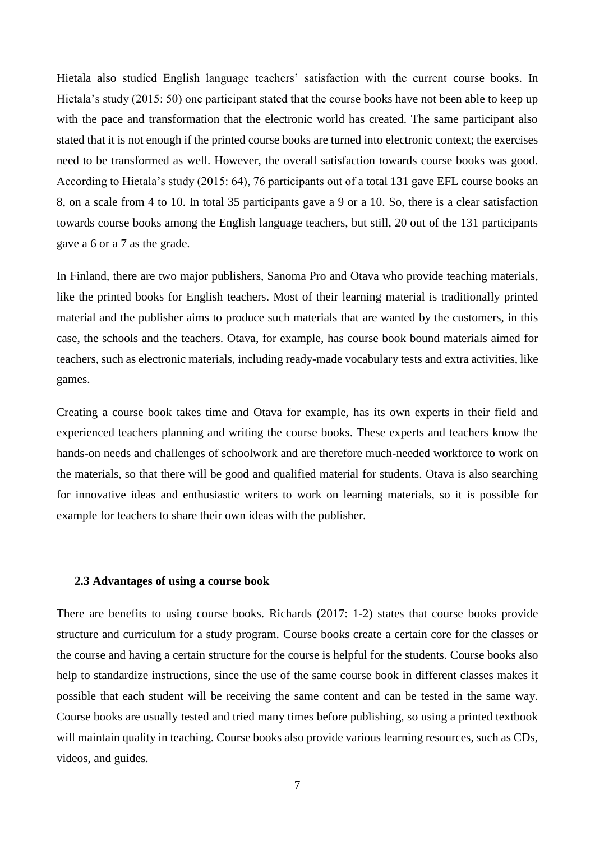Hietala also studied English language teachers' satisfaction with the current course books. In Hietala's study (2015: 50) one participant stated that the course books have not been able to keep up with the pace and transformation that the electronic world has created. The same participant also stated that it is not enough if the printed course books are turned into electronic context; the exercises need to be transformed as well. However, the overall satisfaction towards course books was good. According to Hietala's study (2015: 64), 76 participants out of a total 131 gave EFL course books an 8, on a scale from 4 to 10. In total 35 participants gave a 9 or a 10. So, there is a clear satisfaction towards course books among the English language teachers, but still, 20 out of the 131 participants gave a 6 or a 7 as the grade.

In Finland, there are two major publishers, Sanoma Pro and Otava who provide teaching materials, like the printed books for English teachers. Most of their learning material is traditionally printed material and the publisher aims to produce such materials that are wanted by the customers, in this case, the schools and the teachers. Otava, for example, has course book bound materials aimed for teachers, such as electronic materials, including ready-made vocabulary tests and extra activities, like games.

Creating a course book takes time and Otava for example, has its own experts in their field and experienced teachers planning and writing the course books. These experts and teachers know the hands-on needs and challenges of schoolwork and are therefore much-needed workforce to work on the materials, so that there will be good and qualified material for students. Otava is also searching for innovative ideas and enthusiastic writers to work on learning materials, so it is possible for example for teachers to share their own ideas with the publisher.

## <span id="page-7-0"></span>**2.3 Advantages of using a course book**

There are benefits to using course books. Richards (2017: 1-2) states that course books provide structure and curriculum for a study program. Course books create a certain core for the classes or the course and having a certain structure for the course is helpful for the students. Course books also help to standardize instructions, since the use of the same course book in different classes makes it possible that each student will be receiving the same content and can be tested in the same way. Course books are usually tested and tried many times before publishing, so using a printed textbook will maintain quality in teaching. Course books also provide various learning resources, such as CDs, videos, and guides.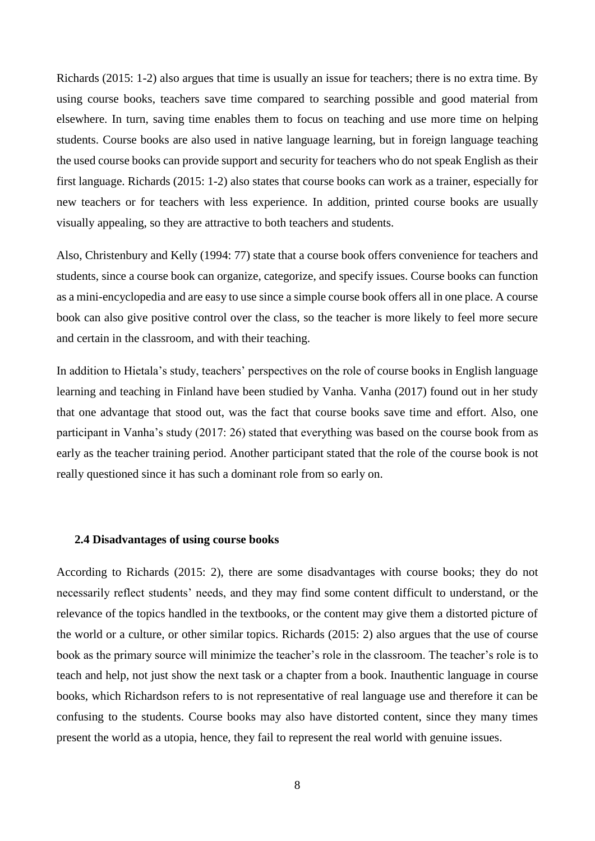Richards (2015: 1-2) also argues that time is usually an issue for teachers; there is no extra time. By using course books, teachers save time compared to searching possible and good material from elsewhere. In turn, saving time enables them to focus on teaching and use more time on helping students. Course books are also used in native language learning, but in foreign language teaching the used course books can provide support and security for teachers who do not speak English as their first language. Richards (2015: 1-2) also states that course books can work as a trainer, especially for new teachers or for teachers with less experience. In addition, printed course books are usually visually appealing, so they are attractive to both teachers and students.

Also, Christenbury and Kelly (1994: 77) state that a course book offers convenience for teachers and students, since a course book can organize, categorize, and specify issues. Course books can function as a mini-encyclopedia and are easy to use since a simple course book offers all in one place. A course book can also give positive control over the class, so the teacher is more likely to feel more secure and certain in the classroom, and with their teaching.

In addition to Hietala's study, teachers' perspectives on the role of course books in English language learning and teaching in Finland have been studied by Vanha. Vanha (2017) found out in her study that one advantage that stood out, was the fact that course books save time and effort. Also, one participant in Vanha's study (2017: 26) stated that everything was based on the course book from as early as the teacher training period. Another participant stated that the role of the course book is not really questioned since it has such a dominant role from so early on.

#### <span id="page-8-0"></span>**2.4 Disadvantages of using course books**

According to Richards (2015: 2), there are some disadvantages with course books; they do not necessarily reflect students' needs, and they may find some content difficult to understand, or the relevance of the topics handled in the textbooks, or the content may give them a distorted picture of the world or a culture, or other similar topics. Richards (2015: 2) also argues that the use of course book as the primary source will minimize the teacher's role in the classroom. The teacher's role is to teach and help, not just show the next task or a chapter from a book. Inauthentic language in course books, which Richardson refers to is not representative of real language use and therefore it can be confusing to the students. Course books may also have distorted content, since they many times present the world as a utopia, hence, they fail to represent the real world with genuine issues.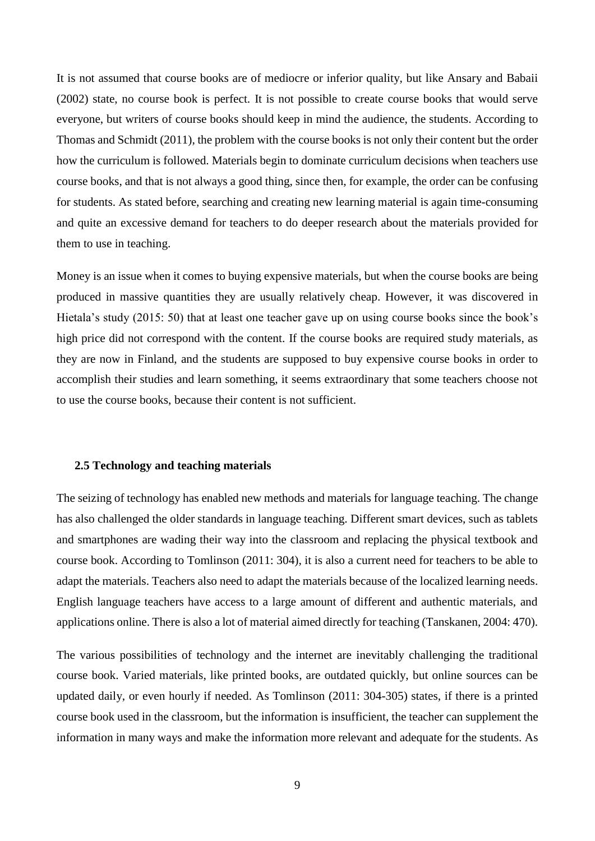It is not assumed that course books are of mediocre or inferior quality, but like Ansary and Babaii (2002) state, no course book is perfect. It is not possible to create course books that would serve everyone, but writers of course books should keep in mind the audience, the students. According to Thomas and Schmidt (2011), the problem with the course books is not only their content but the order how the curriculum is followed. Materials begin to dominate curriculum decisions when teachers use course books, and that is not always a good thing, since then, for example, the order can be confusing for students. As stated before, searching and creating new learning material is again time-consuming and quite an excessive demand for teachers to do deeper research about the materials provided for them to use in teaching.

Money is an issue when it comes to buying expensive materials, but when the course books are being produced in massive quantities they are usually relatively cheap. However, it was discovered in Hietala's study (2015: 50) that at least one teacher gave up on using course books since the book's high price did not correspond with the content. If the course books are required study materials, as they are now in Finland, and the students are supposed to buy expensive course books in order to accomplish their studies and learn something, it seems extraordinary that some teachers choose not to use the course books, because their content is not sufficient.

## <span id="page-9-0"></span>**2.5 Technology and teaching materials**

The seizing of technology has enabled new methods and materials for language teaching. The change has also challenged the older standards in language teaching. Different smart devices, such as tablets and smartphones are wading their way into the classroom and replacing the physical textbook and course book. According to Tomlinson (2011: 304), it is also a current need for teachers to be able to adapt the materials. Teachers also need to adapt the materials because of the localized learning needs. English language teachers have access to a large amount of different and authentic materials, and applications online. There is also a lot of material aimed directly for teaching (Tanskanen, 2004: 470).

The various possibilities of technology and the internet are inevitably challenging the traditional course book. Varied materials, like printed books, are outdated quickly, but online sources can be updated daily, or even hourly if needed. As Tomlinson (2011: 304-305) states, if there is a printed course book used in the classroom, but the information is insufficient, the teacher can supplement the information in many ways and make the information more relevant and adequate for the students. As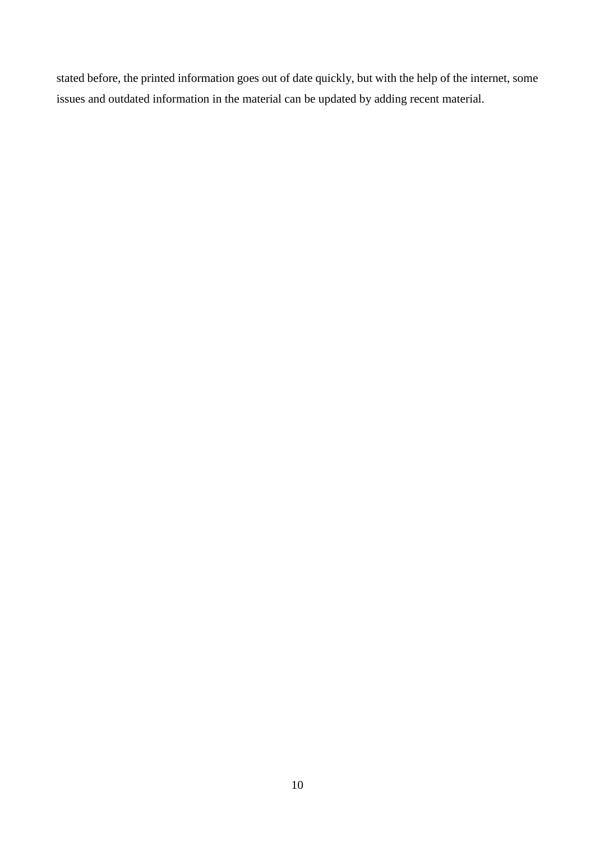stated before, the printed information goes out of date quickly, but with the help of the internet, some issues and outdated information in the material can be updated by adding recent material.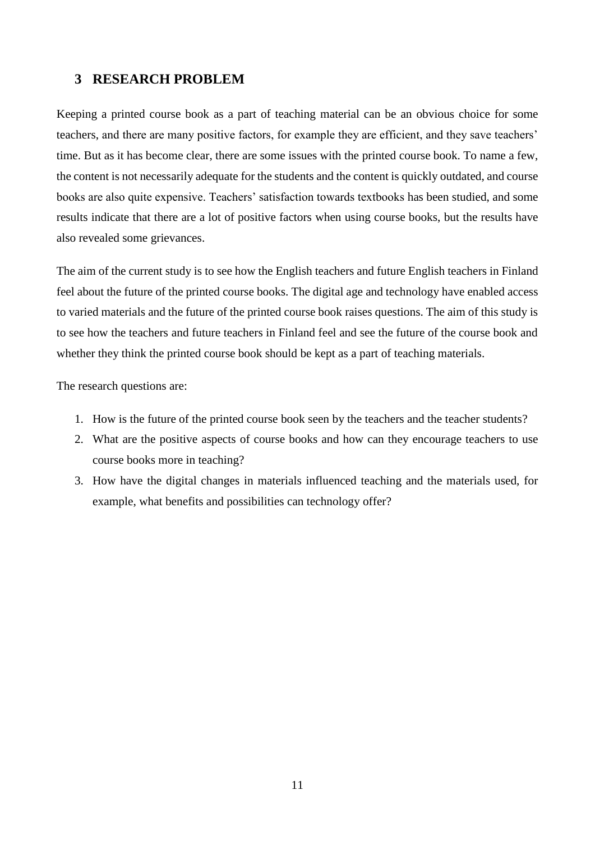## <span id="page-11-0"></span>**3 RESEARCH PROBLEM**

Keeping a printed course book as a part of teaching material can be an obvious choice for some teachers, and there are many positive factors, for example they are efficient, and they save teachers' time. But as it has become clear, there are some issues with the printed course book. To name a few, the content is not necessarily adequate for the students and the content is quickly outdated, and course books are also quite expensive. Teachers' satisfaction towards textbooks has been studied, and some results indicate that there are a lot of positive factors when using course books, but the results have also revealed some grievances.

The aim of the current study is to see how the English teachers and future English teachers in Finland feel about the future of the printed course books. The digital age and technology have enabled access to varied materials and the future of the printed course book raises questions. The aim of this study is to see how the teachers and future teachers in Finland feel and see the future of the course book and whether they think the printed course book should be kept as a part of teaching materials.

The research questions are:

- 1. How is the future of the printed course book seen by the teachers and the teacher students?
- 2. What are the positive aspects of course books and how can they encourage teachers to use course books more in teaching?
- 3. How have the digital changes in materials influenced teaching and the materials used, for example, what benefits and possibilities can technology offer?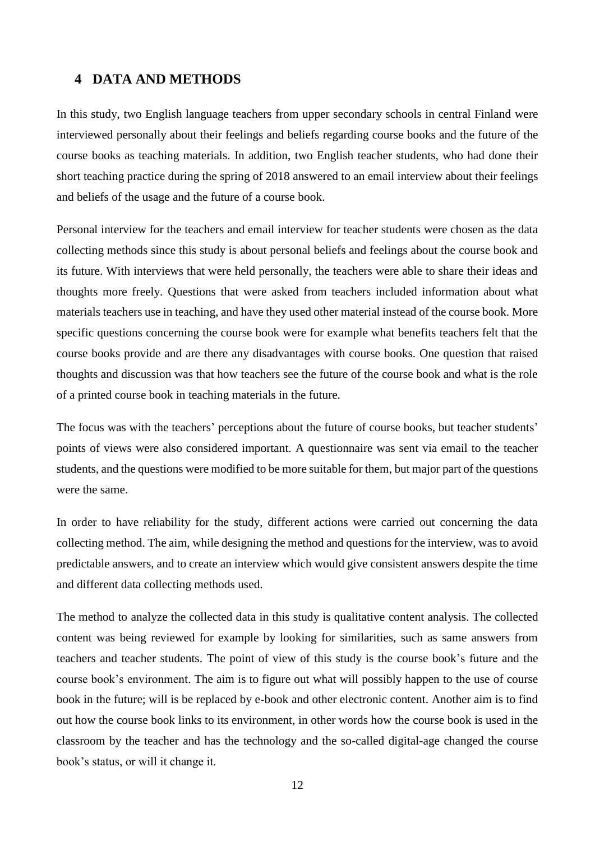## <span id="page-12-0"></span>**4 DATA AND METHODS**

In this study, two English language teachers from upper secondary schools in central Finland were interviewed personally about their feelings and beliefs regarding course books and the future of the course books as teaching materials. In addition, two English teacher students, who had done their short teaching practice during the spring of 2018 answered to an email interview about their feelings and beliefs of the usage and the future of a course book.

Personal interview for the teachers and email interview for teacher students were chosen as the data collecting methods since this study is about personal beliefs and feelings about the course book and its future. With interviews that were held personally, the teachers were able to share their ideas and thoughts more freely. Questions that were asked from teachers included information about what materials teachers use in teaching, and have they used other material instead of the course book. More specific questions concerning the course book were for example what benefits teachers felt that the course books provide and are there any disadvantages with course books. One question that raised thoughts and discussion was that how teachers see the future of the course book and what is the role of a printed course book in teaching materials in the future.

The focus was with the teachers' perceptions about the future of course books, but teacher students' points of views were also considered important. A questionnaire was sent via email to the teacher students, and the questions were modified to be more suitable for them, but major part of the questions were the same.

In order to have reliability for the study, different actions were carried out concerning the data collecting method. The aim, while designing the method and questions for the interview, was to avoid predictable answers, and to create an interview which would give consistent answers despite the time and different data collecting methods used.

The method to analyze the collected data in this study is qualitative content analysis. The collected content was being reviewed for example by looking for similarities, such as same answers from teachers and teacher students. The point of view of this study is the course book's future and the course book's environment. The aim is to figure out what will possibly happen to the use of course book in the future; will is be replaced by e-book and other electronic content. Another aim is to find out how the course book links to its environment, in other words how the course book is used in the classroom by the teacher and has the technology and the so-called digital-age changed the course book's status, or will it change it.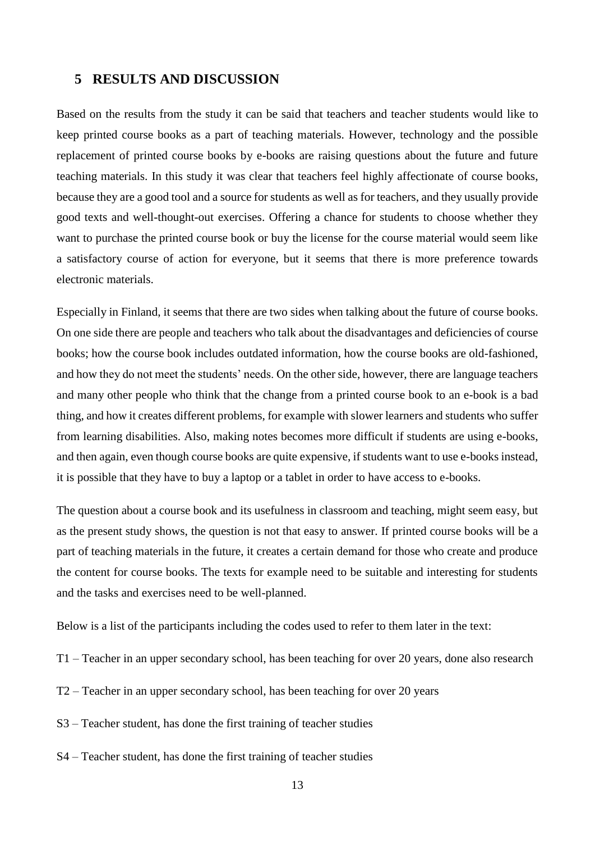## <span id="page-13-0"></span>**5 RESULTS AND DISCUSSION**

Based on the results from the study it can be said that teachers and teacher students would like to keep printed course books as a part of teaching materials. However, technology and the possible replacement of printed course books by e-books are raising questions about the future and future teaching materials. In this study it was clear that teachers feel highly affectionate of course books, because they are a good tool and a source for students as well as for teachers, and they usually provide good texts and well-thought-out exercises. Offering a chance for students to choose whether they want to purchase the printed course book or buy the license for the course material would seem like a satisfactory course of action for everyone, but it seems that there is more preference towards electronic materials.

Especially in Finland, it seems that there are two sides when talking about the future of course books. On one side there are people and teachers who talk about the disadvantages and deficiencies of course books; how the course book includes outdated information, how the course books are old-fashioned, and how they do not meet the students' needs. On the other side, however, there are language teachers and many other people who think that the change from a printed course book to an e-book is a bad thing, and how it creates different problems, for example with slower learners and students who suffer from learning disabilities. Also, making notes becomes more difficult if students are using e-books, and then again, even though course books are quite expensive, if students want to use e-books instead, it is possible that they have to buy a laptop or a tablet in order to have access to e-books.

The question about a course book and its usefulness in classroom and teaching, might seem easy, but as the present study shows, the question is not that easy to answer. If printed course books will be a part of teaching materials in the future, it creates a certain demand for those who create and produce the content for course books. The texts for example need to be suitable and interesting for students and the tasks and exercises need to be well-planned.

Below is a list of the participants including the codes used to refer to them later in the text:

- T1 Teacher in an upper secondary school, has been teaching for over 20 years, done also research
- T2 Teacher in an upper secondary school, has been teaching for over 20 years
- S3 Teacher student, has done the first training of teacher studies
- S4 Teacher student, has done the first training of teacher studies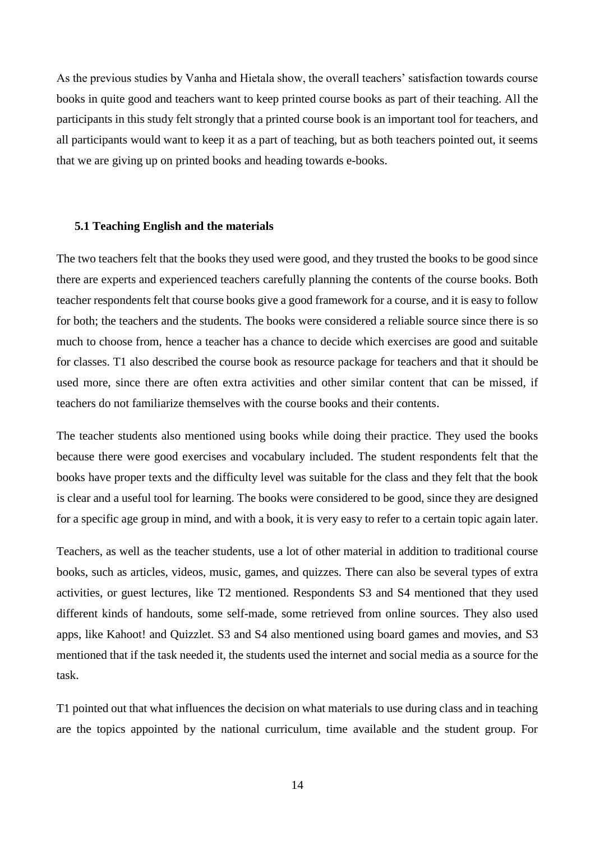As the previous studies by Vanha and Hietala show, the overall teachers' satisfaction towards course books in quite good and teachers want to keep printed course books as part of their teaching. All the participants in this study felt strongly that a printed course book is an important tool for teachers, and all participants would want to keep it as a part of teaching, but as both teachers pointed out, it seems that we are giving up on printed books and heading towards e-books.

#### <span id="page-14-0"></span>**5.1 Teaching English and the materials**

The two teachers felt that the books they used were good, and they trusted the books to be good since there are experts and experienced teachers carefully planning the contents of the course books. Both teacher respondents felt that course books give a good framework for a course, and it is easy to follow for both; the teachers and the students. The books were considered a reliable source since there is so much to choose from, hence a teacher has a chance to decide which exercises are good and suitable for classes. T1 also described the course book as resource package for teachers and that it should be used more, since there are often extra activities and other similar content that can be missed, if teachers do not familiarize themselves with the course books and their contents.

The teacher students also mentioned using books while doing their practice. They used the books because there were good exercises and vocabulary included. The student respondents felt that the books have proper texts and the difficulty level was suitable for the class and they felt that the book is clear and a useful tool for learning. The books were considered to be good, since they are designed for a specific age group in mind, and with a book, it is very easy to refer to a certain topic again later.

Teachers, as well as the teacher students, use a lot of other material in addition to traditional course books, such as articles, videos, music, games, and quizzes. There can also be several types of extra activities, or guest lectures, like T2 mentioned. Respondents S3 and S4 mentioned that they used different kinds of handouts, some self-made, some retrieved from online sources. They also used apps, like Kahoot! and Quizzlet. S3 and S4 also mentioned using board games and movies, and S3 mentioned that if the task needed it, the students used the internet and social media as a source for the task.

T1 pointed out that what influences the decision on what materials to use during class and in teaching are the topics appointed by the national curriculum, time available and the student group. For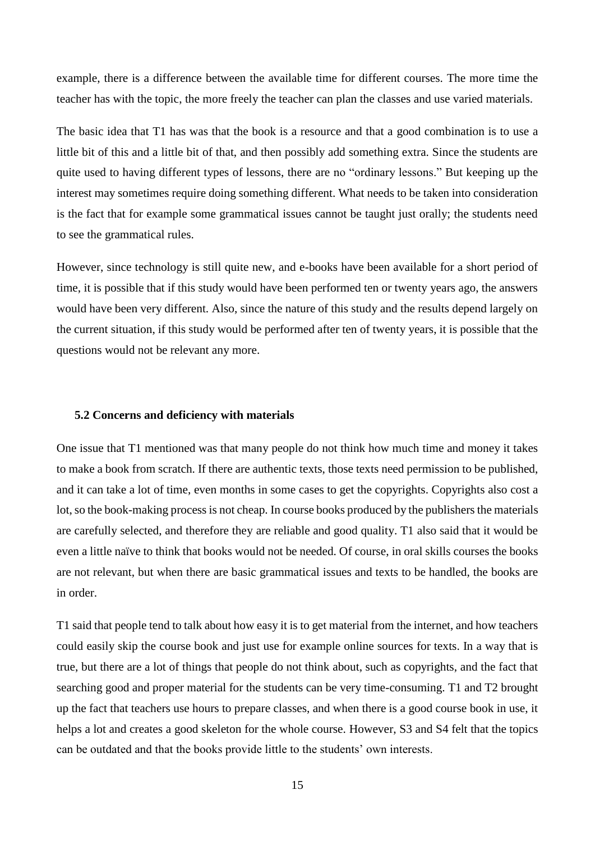example, there is a difference between the available time for different courses. The more time the teacher has with the topic, the more freely the teacher can plan the classes and use varied materials.

The basic idea that T1 has was that the book is a resource and that a good combination is to use a little bit of this and a little bit of that, and then possibly add something extra. Since the students are quite used to having different types of lessons, there are no "ordinary lessons." But keeping up the interest may sometimes require doing something different. What needs to be taken into consideration is the fact that for example some grammatical issues cannot be taught just orally; the students need to see the grammatical rules.

However, since technology is still quite new, and e-books have been available for a short period of time, it is possible that if this study would have been performed ten or twenty years ago, the answers would have been very different. Also, since the nature of this study and the results depend largely on the current situation, if this study would be performed after ten of twenty years, it is possible that the questions would not be relevant any more.

## <span id="page-15-0"></span>**5.2 Concerns and deficiency with materials**

One issue that T1 mentioned was that many people do not think how much time and money it takes to make a book from scratch. If there are authentic texts, those texts need permission to be published, and it can take a lot of time, even months in some cases to get the copyrights. Copyrights also cost a lot, so the book-making process is not cheap. In course books produced by the publishers the materials are carefully selected, and therefore they are reliable and good quality. T1 also said that it would be even a little naïve to think that books would not be needed. Of course, in oral skills courses the books are not relevant, but when there are basic grammatical issues and texts to be handled, the books are in order.

T1 said that people tend to talk about how easy it is to get material from the internet, and how teachers could easily skip the course book and just use for example online sources for texts. In a way that is true, but there are a lot of things that people do not think about, such as copyrights, and the fact that searching good and proper material for the students can be very time-consuming. T1 and T2 brought up the fact that teachers use hours to prepare classes, and when there is a good course book in use, it helps a lot and creates a good skeleton for the whole course. However, S3 and S4 felt that the topics can be outdated and that the books provide little to the students' own interests.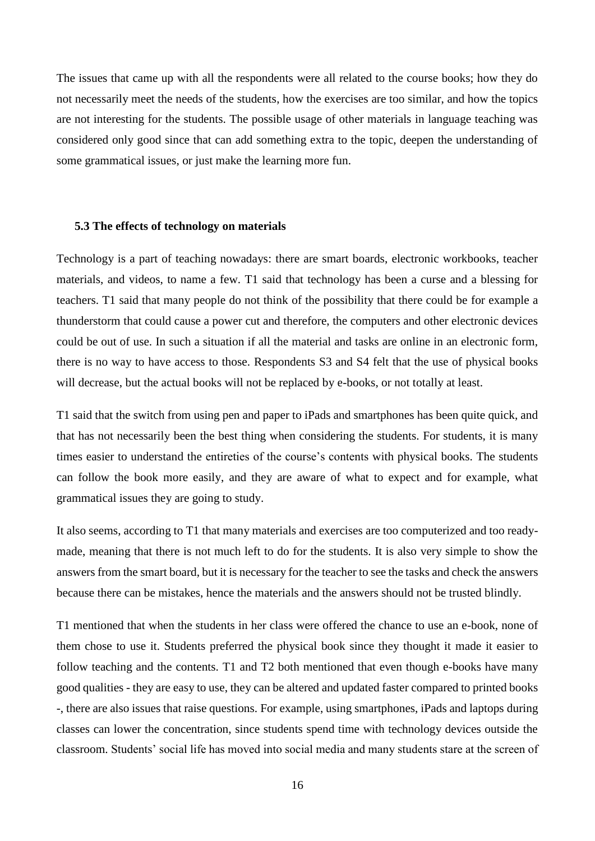The issues that came up with all the respondents were all related to the course books; how they do not necessarily meet the needs of the students, how the exercises are too similar, and how the topics are not interesting for the students. The possible usage of other materials in language teaching was considered only good since that can add something extra to the topic, deepen the understanding of some grammatical issues, or just make the learning more fun.

### <span id="page-16-0"></span>**5.3 The effects of technology on materials**

Technology is a part of teaching nowadays: there are smart boards, electronic workbooks, teacher materials, and videos, to name a few. T1 said that technology has been a curse and a blessing for teachers. T1 said that many people do not think of the possibility that there could be for example a thunderstorm that could cause a power cut and therefore, the computers and other electronic devices could be out of use. In such a situation if all the material and tasks are online in an electronic form, there is no way to have access to those. Respondents S3 and S4 felt that the use of physical books will decrease, but the actual books will not be replaced by e-books, or not totally at least.

T1 said that the switch from using pen and paper to iPads and smartphones has been quite quick, and that has not necessarily been the best thing when considering the students. For students, it is many times easier to understand the entireties of the course's contents with physical books. The students can follow the book more easily, and they are aware of what to expect and for example, what grammatical issues they are going to study.

It also seems, according to T1 that many materials and exercises are too computerized and too readymade, meaning that there is not much left to do for the students. It is also very simple to show the answers from the smart board, but it is necessary for the teacher to see the tasks and check the answers because there can be mistakes, hence the materials and the answers should not be trusted blindly.

T1 mentioned that when the students in her class were offered the chance to use an e-book, none of them chose to use it. Students preferred the physical book since they thought it made it easier to follow teaching and the contents. T1 and T2 both mentioned that even though e-books have many good qualities - they are easy to use, they can be altered and updated faster compared to printed books -, there are also issues that raise questions. For example, using smartphones, iPads and laptops during classes can lower the concentration, since students spend time with technology devices outside the classroom. Students' social life has moved into social media and many students stare at the screen of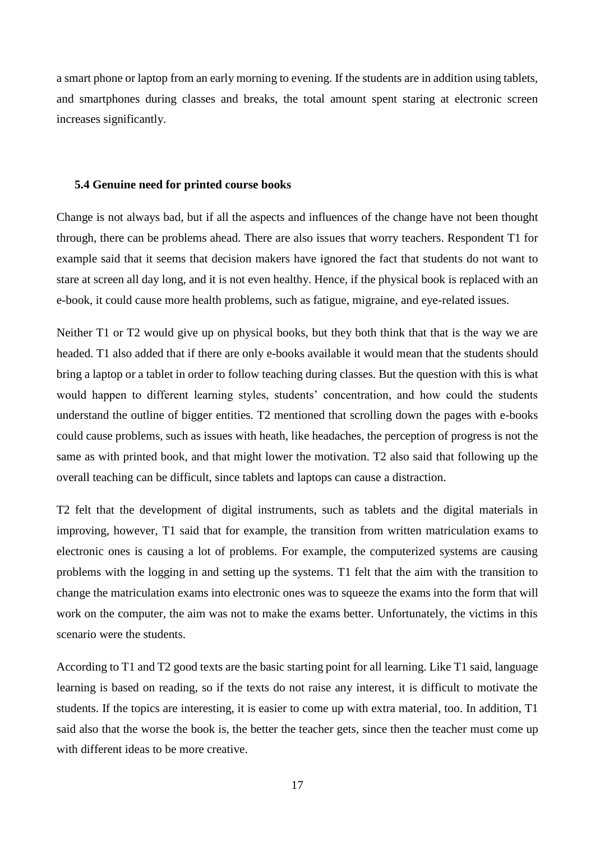a smart phone or laptop from an early morning to evening. If the students are in addition using tablets, and smartphones during classes and breaks, the total amount spent staring at electronic screen increases significantly.

#### <span id="page-17-0"></span>**5.4 Genuine need for printed course books**

Change is not always bad, but if all the aspects and influences of the change have not been thought through, there can be problems ahead. There are also issues that worry teachers. Respondent T1 for example said that it seems that decision makers have ignored the fact that students do not want to stare at screen all day long, and it is not even healthy. Hence, if the physical book is replaced with an e-book, it could cause more health problems, such as fatigue, migraine, and eye-related issues.

Neither T1 or T2 would give up on physical books, but they both think that that is the way we are headed. T1 also added that if there are only e-books available it would mean that the students should bring a laptop or a tablet in order to follow teaching during classes. But the question with this is what would happen to different learning styles, students' concentration, and how could the students understand the outline of bigger entities. T2 mentioned that scrolling down the pages with e-books could cause problems, such as issues with heath, like headaches, the perception of progress is not the same as with printed book, and that might lower the motivation. T2 also said that following up the overall teaching can be difficult, since tablets and laptops can cause a distraction.

T2 felt that the development of digital instruments, such as tablets and the digital materials in improving, however, T1 said that for example, the transition from written matriculation exams to electronic ones is causing a lot of problems. For example, the computerized systems are causing problems with the logging in and setting up the systems. T1 felt that the aim with the transition to change the matriculation exams into electronic ones was to squeeze the exams into the form that will work on the computer, the aim was not to make the exams better. Unfortunately, the victims in this scenario were the students.

According to T1 and T2 good texts are the basic starting point for all learning. Like T1 said, language learning is based on reading, so if the texts do not raise any interest, it is difficult to motivate the students. If the topics are interesting, it is easier to come up with extra material, too. In addition, T1 said also that the worse the book is, the better the teacher gets, since then the teacher must come up with different ideas to be more creative.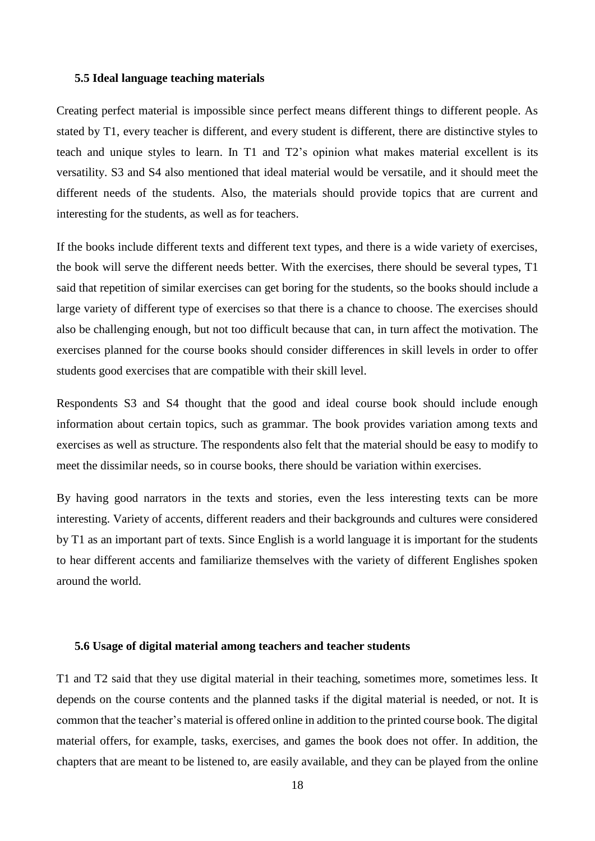## <span id="page-18-0"></span>**5.5 Ideal language teaching materials**

Creating perfect material is impossible since perfect means different things to different people. As stated by T1, every teacher is different, and every student is different, there are distinctive styles to teach and unique styles to learn. In T1 and T2's opinion what makes material excellent is its versatility. S3 and S4 also mentioned that ideal material would be versatile, and it should meet the different needs of the students. Also, the materials should provide topics that are current and interesting for the students, as well as for teachers.

If the books include different texts and different text types, and there is a wide variety of exercises, the book will serve the different needs better. With the exercises, there should be several types, T1 said that repetition of similar exercises can get boring for the students, so the books should include a large variety of different type of exercises so that there is a chance to choose. The exercises should also be challenging enough, but not too difficult because that can, in turn affect the motivation. The exercises planned for the course books should consider differences in skill levels in order to offer students good exercises that are compatible with their skill level.

Respondents S3 and S4 thought that the good and ideal course book should include enough information about certain topics, such as grammar. The book provides variation among texts and exercises as well as structure. The respondents also felt that the material should be easy to modify to meet the dissimilar needs, so in course books, there should be variation within exercises.

By having good narrators in the texts and stories, even the less interesting texts can be more interesting. Variety of accents, different readers and their backgrounds and cultures were considered by T1 as an important part of texts. Since English is a world language it is important for the students to hear different accents and familiarize themselves with the variety of different Englishes spoken around the world.

### <span id="page-18-1"></span>**5.6 Usage of digital material among teachers and teacher students**

T1 and T2 said that they use digital material in their teaching, sometimes more, sometimes less. It depends on the course contents and the planned tasks if the digital material is needed, or not. It is common that the teacher's material is offered online in addition to the printed course book. The digital material offers, for example, tasks, exercises, and games the book does not offer. In addition, the chapters that are meant to be listened to, are easily available, and they can be played from the online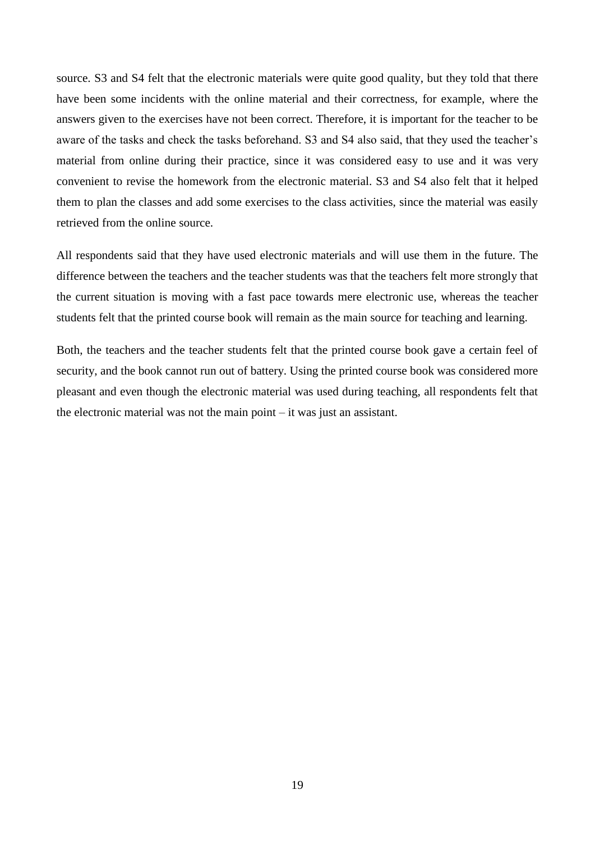source. S3 and S4 felt that the electronic materials were quite good quality, but they told that there have been some incidents with the online material and their correctness, for example, where the answers given to the exercises have not been correct. Therefore, it is important for the teacher to be aware of the tasks and check the tasks beforehand. S3 and S4 also said, that they used the teacher's material from online during their practice, since it was considered easy to use and it was very convenient to revise the homework from the electronic material. S3 and S4 also felt that it helped them to plan the classes and add some exercises to the class activities, since the material was easily retrieved from the online source.

All respondents said that they have used electronic materials and will use them in the future. The difference between the teachers and the teacher students was that the teachers felt more strongly that the current situation is moving with a fast pace towards mere electronic use, whereas the teacher students felt that the printed course book will remain as the main source for teaching and learning.

Both, the teachers and the teacher students felt that the printed course book gave a certain feel of security, and the book cannot run out of battery. Using the printed course book was considered more pleasant and even though the electronic material was used during teaching, all respondents felt that the electronic material was not the main point – it was just an assistant.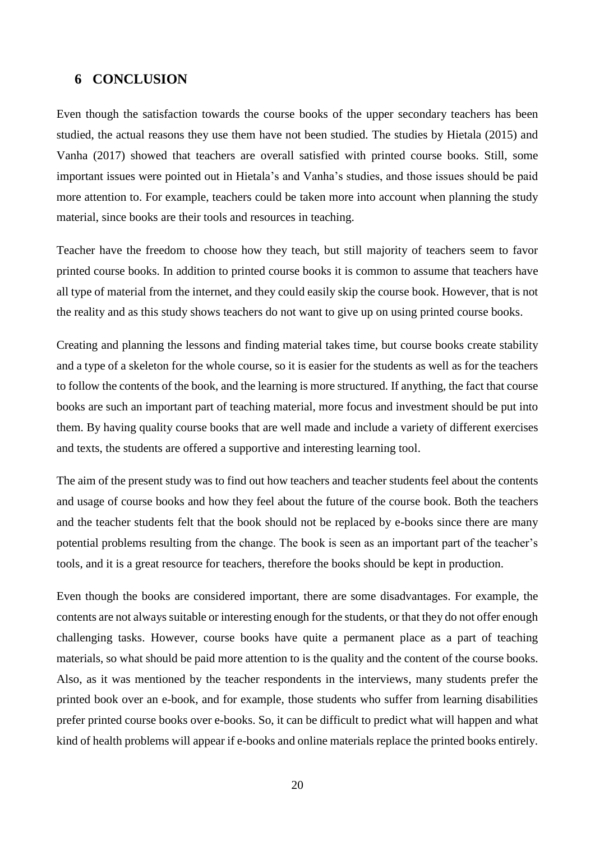## <span id="page-20-0"></span>**6 CONCLUSION**

Even though the satisfaction towards the course books of the upper secondary teachers has been studied, the actual reasons they use them have not been studied. The studies by Hietala (2015) and Vanha (2017) showed that teachers are overall satisfied with printed course books. Still, some important issues were pointed out in Hietala's and Vanha's studies, and those issues should be paid more attention to. For example, teachers could be taken more into account when planning the study material, since books are their tools and resources in teaching.

Teacher have the freedom to choose how they teach, but still majority of teachers seem to favor printed course books. In addition to printed course books it is common to assume that teachers have all type of material from the internet, and they could easily skip the course book. However, that is not the reality and as this study shows teachers do not want to give up on using printed course books.

Creating and planning the lessons and finding material takes time, but course books create stability and a type of a skeleton for the whole course, so it is easier for the students as well as for the teachers to follow the contents of the book, and the learning is more structured. If anything, the fact that course books are such an important part of teaching material, more focus and investment should be put into them. By having quality course books that are well made and include a variety of different exercises and texts, the students are offered a supportive and interesting learning tool.

The aim of the present study was to find out how teachers and teacher students feel about the contents and usage of course books and how they feel about the future of the course book. Both the teachers and the teacher students felt that the book should not be replaced by e-books since there are many potential problems resulting from the change. The book is seen as an important part of the teacher's tools, and it is a great resource for teachers, therefore the books should be kept in production.

Even though the books are considered important, there are some disadvantages. For example, the contents are not always suitable or interesting enough for the students, or that they do not offer enough challenging tasks. However, course books have quite a permanent place as a part of teaching materials, so what should be paid more attention to is the quality and the content of the course books. Also, as it was mentioned by the teacher respondents in the interviews, many students prefer the printed book over an e-book, and for example, those students who suffer from learning disabilities prefer printed course books over e-books. So, it can be difficult to predict what will happen and what kind of health problems will appear if e-books and online materials replace the printed books entirely.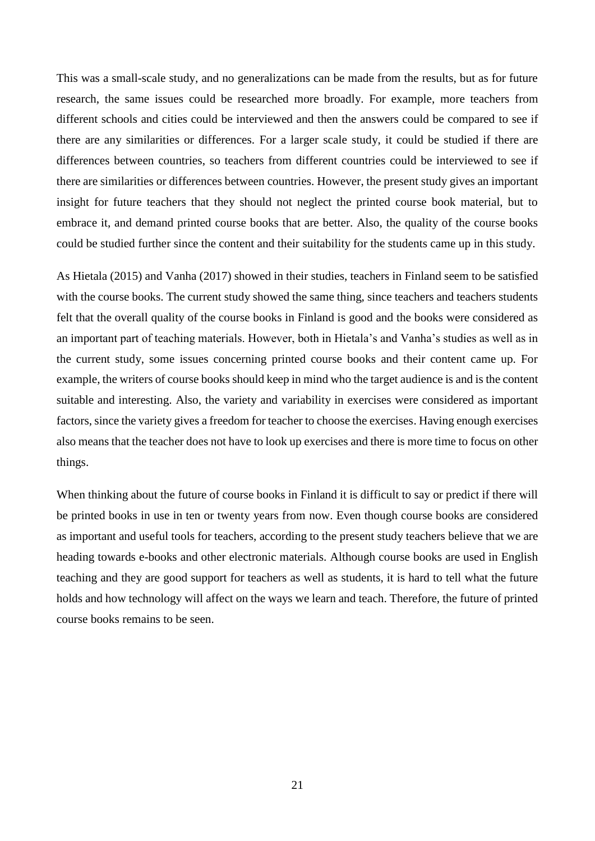This was a small-scale study, and no generalizations can be made from the results, but as for future research, the same issues could be researched more broadly. For example, more teachers from different schools and cities could be interviewed and then the answers could be compared to see if there are any similarities or differences. For a larger scale study, it could be studied if there are differences between countries, so teachers from different countries could be interviewed to see if there are similarities or differences between countries. However, the present study gives an important insight for future teachers that they should not neglect the printed course book material, but to embrace it, and demand printed course books that are better. Also, the quality of the course books could be studied further since the content and their suitability for the students came up in this study.

As Hietala (2015) and Vanha (2017) showed in their studies, teachers in Finland seem to be satisfied with the course books. The current study showed the same thing, since teachers and teachers students felt that the overall quality of the course books in Finland is good and the books were considered as an important part of teaching materials. However, both in Hietala's and Vanha's studies as well as in the current study, some issues concerning printed course books and their content came up. For example, the writers of course books should keep in mind who the target audience is and is the content suitable and interesting. Also, the variety and variability in exercises were considered as important factors, since the variety gives a freedom for teacher to choose the exercises. Having enough exercises also means that the teacher does not have to look up exercises and there is more time to focus on other things.

When thinking about the future of course books in Finland it is difficult to say or predict if there will be printed books in use in ten or twenty years from now. Even though course books are considered as important and useful tools for teachers, according to the present study teachers believe that we are heading towards e-books and other electronic materials. Although course books are used in English teaching and they are good support for teachers as well as students, it is hard to tell what the future holds and how technology will affect on the ways we learn and teach. Therefore, the future of printed course books remains to be seen.